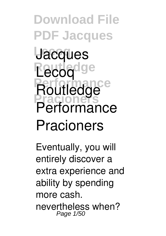**Download File PDF Jacques Lecoq Jacques Routledge Lecoq Performance Pracioners Routledge Performance Pracioners**

Eventually, you will entirely discover a extra experience and ability by spending more cash. nevertheless when? Page 1/50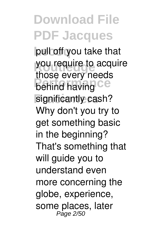**Lecoq** pull off you take that you require to acquire **Performance** significantly cash? those every needs Why don't you try to get something basic in the beginning? That's something that will guide you to understand even more concerning the globe, experience, some places, later Page 2/50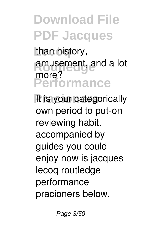than history, amusement, and a lot **Performance** more?

It is your categorically own period to put-on reviewing habit. accompanied by guides you could enjoy now is **jacques lecoq routledge performance pracioners** below.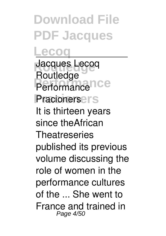**Lecoq Routledge** Jacques Lecoq **Performance** Performance **Pracioners** Pracioners **Routledge** It is thirteen years since theAfrican **Theatreseries** published its previous volume discussing the role of women in the performance cultures of the ... She went to France and trained in Page 4/50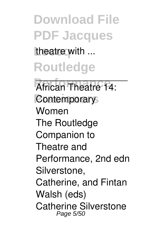theatre with ...

**Routledge**

African Theatre 14: **Contemporary** Women The Routledge Companion to Theatre and Performance, 2nd edn Silverstone, Catherine, and Fintan Walsh (eds) Catherine Silverstone Page 5/50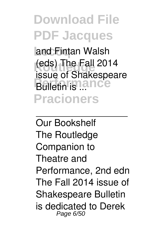**Lecoq** and Fintan Walsh **(eds) The Fall 2014 Bulletin** is **lance Pracioners** issue of Shakespeare

Our Bookshelf The Routledge Companion to Theatre and Performance, 2nd edn The Fall 2014 issue of Shakespeare Bulletin is dedicated to Derek Page 6/50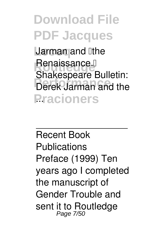**Larman and lithe** Renaissance.<sup>[1]</sup> **Perek Jarman and the Pracioners** ... Shakespeare Bulletin:

Recent Book **Publications** Preface (1999) Ten years ago I completed the manuscript of Gender Trouble and sent it to Routledge Page 7/50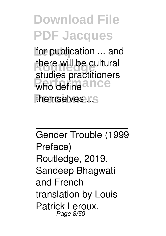for publication ... and there will be cultural who define ance themselves ...s studies practitioners

Gender Trouble (1999 Preface) Routledge, 2019. Sandeep Bhagwati and French translation by Louis Patrick Leroux Page 8/50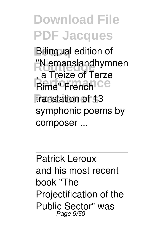**Bilingual edition of "Niemanslandhymnen"**<br>C. Trains of Terre **Rime"** French Ce translation of 13 , a Treize of Terze symphonic poems by composer ...

Patrick Leroux and his most recent book "The Projectification of the Public Sector" was Page 9/50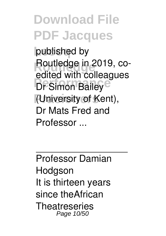**Lecoq** published by **Routledge** Routledge in 2019, co-**Performance**<br>
Dr Simon Bailey<sup>e</sup> **Pracioners** (University of Kent), edited with colleagues Dr Mats Fred and Professor ...

Professor Damian **Hodgson** It is thirteen years since theAfrican **Theatreseries** Page 10/50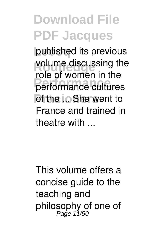**Lecoq** published its previous volume discussing the **Performance** performance cultures **Pracio** She went to role of women in the France and trained in theatre with ...

This volume offers a concise guide to the teaching and philosophy of one of Page 11/50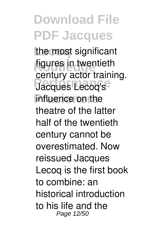the most significant **figures** in twentieth **Performance**<br>
Jacques Lecoq's influence on the century actor training. theatre of the latter half of the twentieth century cannot be overestimated. Now reissued Jacques Lecoq is the first book to combine: an historical introduction to his life and the Page 12/50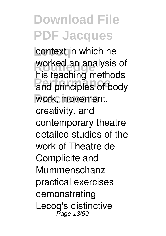context in which he worked an analysis of and principles of body work, movement, his teaching methods creativity, and contemporary theatre detailed studies of the work of Theatre de Complicite and Mummenschanz practical exercises demonstrating Lecoq's distinctive Page 13/50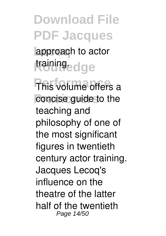**Lecoq** approach to actor training<sub>ed ge</sub>

**This volume offers a** concise guide to the teaching and philosophy of one of the most significant figures in twentieth century actor training. Jacques Lecoq's influence on the theatre of the latter half of the twentieth Page 14/50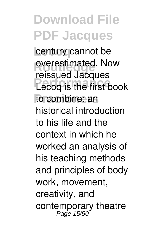century cannot be **overestimated.** Now **Lecoq** is the first book to combine: an reissued Jacques historical introduction to his life and the context in which he worked an analysis of his teaching methods and principles of body work, movement, creativity, and contemporary theatre<br><sup>Page 15/50</sup>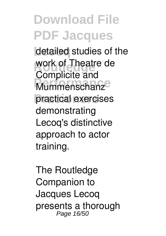detailed studies of the work of Theatre de **Mummenschanz** practical exercises Complicite and demonstrating Lecoq's distinctive approach to actor training.

The Routledge Companion to Jacques Lecoq presents a thorough Page 16/50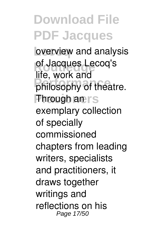**bverview** and analysis of Jacques Lecoq's mo, noncano<br>philosophy of theatre. **Phrough an rs** life, work and exemplary collection of specially commissioned chapters from leading writers, specialists and practitioners, it draws together writings and reflections on his Page 17/50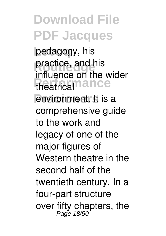**Lecoq** pedagogy, his **practice, and his** theatrical<sup>11</sup>ance environment. It is a influence on the wider comprehensive guide to the work and legacy of one of the major figures of Western theatre in the second half of the twentieth century. In a four-part structure over fifty chapters, the Page 18/50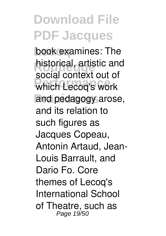book examines: The historical, artistic and<br> **Roger** and the set of **Performance** which Lecoq's work and pedagogy arose, social context out of and its relation to such figures as Jacques Copeau, Antonin Artaud, Jean-Louis Barrault, and Dario Fo. Core themes of Lecoq's International School of Theatre, such as Page 19/50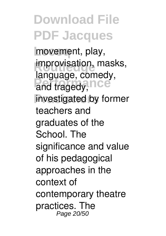**Lecoq** movement, play, improvisation, masks, and tragedy, **PCC** investigated by former language, comedy, teachers and graduates of the School. The significance and value of his pedagogical approaches in the context of contemporary theatre practices. The Page 20/50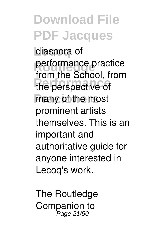diaspora of **performance practice Performance** the perspective of many of the most from the School, from prominent artists themselves. This is an important and authoritative guide for anyone interested in Lecoq's work.

The Routledge Companion to Page 21/50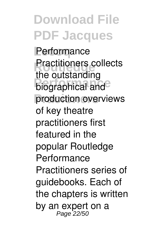**Performance Practitioners collects Performance** production overviews the outstanding of key theatre practitioners first featured in the popular Routledge Performance Practitioners series of guidebooks. Each of the chapters is written by an expert on a Page 22/50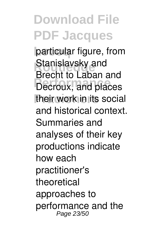particular figure, from **Stanislavsky and Product to Eaban and** their work in its social Brecht to Laban and and historical context. Summaries and analyses of their key productions indicate how each practitioner's theoretical approaches to performance and the Page 23/50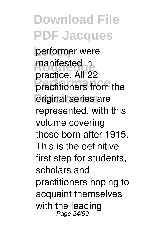performer were manifested in<br>**Russias** All 22 practitioners from the original series are practice. All 22 represented, with this volume covering those born after 1915. This is the definitive first step for students, scholars and practitioners hoping to acquaint themselves with the leading Page 24/50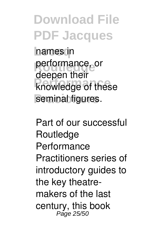**hames** in performance, or **Report from**<br> **Performance** seminal figures. deepen their

Part of our successful **Routledge** Performance Practitioners series of introductory guides to the key theatremakers of the last century, this book Page 25/50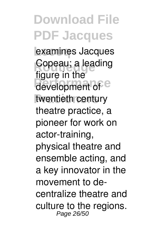**Lecoq** examines Jacques **Copeau; a leading** development of <sup>e</sup> twentieth century figure in the theatre practice, a pioneer for work on actor-training, physical theatre and ensemble acting, and a key innovator in the movement to decentralize theatre and culture to the regions. Page 26/50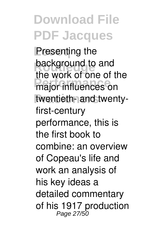**Presenting the background to and Performance** on twentieth- and twentythe work of one of the first-century performance, this is the first book to combine: an overview of Copeau's life and work an analysis of his key ideas a detailed commentary of his 1917 production Page 27/50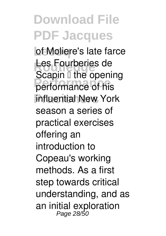**of Moliere's late farce** Les Fourberies de **Performance** performance of his **Influential New York** Scapin  $\mathbb I$  the opening season a series of practical exercises offering an introduction to Copeau's working methods. As a first step towards critical understanding, and as an initial exploration Page 28/50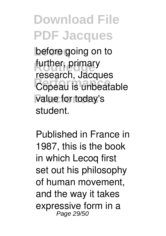before going on to further, primary **Performance**<br>Copeau is unbeatable value for today's research, Jacques student.

Published in France in 1987, this is the book in which Lecoq first set out his philosophy of human movement, and the way it takes expressive form in a Page 29/50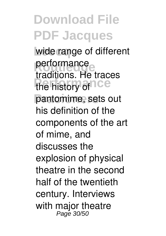wide range of different performance the history of **CC** pantomime, sets out traditions. He traces his definition of the components of the art of mime, and discusses the explosion of physical theatre in the second half of the twentieth century. Interviews with major theatre Page 30/50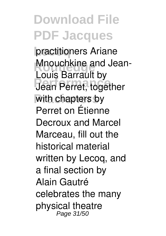practitioners Ariane **Mnouchkine and Jean-Jean Perret, together** with chapters by Louis Barrault by Perret on Étienne Decroux and Marcel Marceau, fill out the historical material written by Lecoq, and a final section by Alain Gautré celebrates the many physical theatre Page 31/50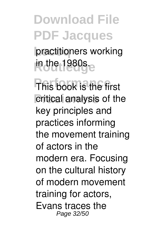practitioners working **in the 1980s.** 

**This book is the first** critical analysis of the key principles and practices informing the movement training of actors in the modern era. Focusing on the cultural history of modern movement training for actors, Evans traces the Page 32/50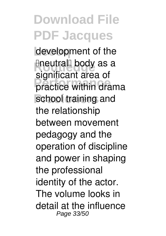development of the **Eneutral body as a Practice within drama** school training and significant area of the relationship between movement pedagogy and the operation of discipline and power in shaping the professional identity of the actor. The volume looks in detail at the influence Page 33/50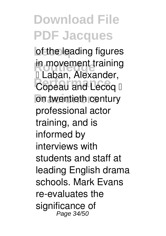of the leading figures in movement training **Personi, Alexander,** on twentieth century — Laban, Alexander, professional actor training, and is informed by interviews with students and staff at leading English drama schools. Mark Evans re-evaluates the significance of Page 34/50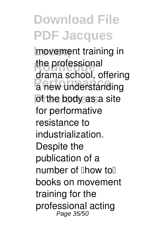movement training in the professional a new understanding of the body as a site drama school, offering for performative resistance to industrialization. Despite the publication of a  $number of$   $lhow$  to  $l$ books on movement training for the professional acting Page 35/50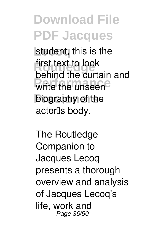student, this is the first text to look **Permits the unseen biography** of the behind the curtain and actor<sup>[</sup>s body.

The Routledge Companion to Jacques Lecoq presents a thorough overview and analysis of Jacques Lecoq's life, work and Page 36/50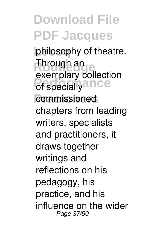**Lecoq** philosophy of theatre. **Through an** of specially<sup>ance</sup> commissioned exemplary collection chapters from leading writers, specialists and practitioners, it draws together writings and reflections on his pedagogy, his practice, and his influence on the wider Page 37/50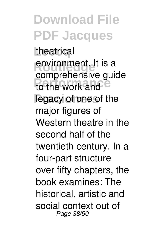theatrical **environment.** It is a to the work and <sup>e</sup> legacy of one of the comprehensive guide major figures of Western theatre in the second half of the twentieth century. In a four-part structure over fifty chapters, the book examines: The historical, artistic and social context out of Page 38/50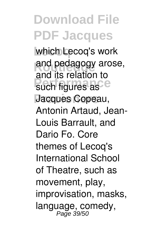**Lecoq** which Lecoq's work and pedagogy arose, such figures as<sup>ce</sup> **Pracioners** Jacques Copeau, and its relation to Antonin Artaud, Jean-Louis Barrault, and Dario Fo. Core themes of Lecoq's International School of Theatre, such as movement, play, improvisation, masks, language, comedy, Page 39/50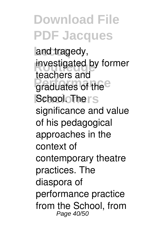and tragedy, investigated by former praduates of the **School. The rs** teachers and significance and value of his pedagogical approaches in the context of contemporary theatre practices. The diaspora of performance practice from the School, from Page 40/50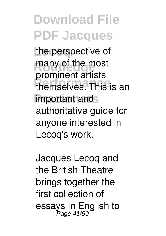the perspective of many of the most **Performance** themselves. This is an important and prominent artists authoritative guide for anyone interested in Lecoq's work.

Jacques Lecoq and the British Theatre brings together the first collection of essays in English to Page 41/50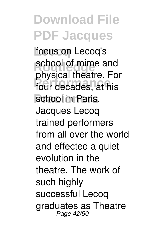**Lecoq** focus on Lecoq's **SCHOOL OF MIME Performance** four decades, at his school in Paris, school of mime and physical theatre. For Jacques Lecoq trained performers from all over the world and effected a quiet evolution in the theatre. The work of such highly successful Lecoq graduates as Theatre Page 42/50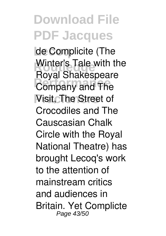**Lecoq** de Complicite (The Winter's Tale with the **Performance**<br> **Performance** Visit, The Street of Royal Shakespeare Crocodiles and The Causcasian Chalk Circle with the Royal National Theatre) has brought Lecoq's work to the attention of mainstream critics and audiences in Britain. Yet Complicte Page 43/50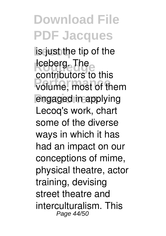**lis just the tip of the Routledge The** volume, most of them engaged in applying contributors to this Lecoq's work, chart some of the diverse ways in which it has had an impact on our conceptions of mime, physical theatre, actor training, devising street theatre and interculturalism. This Page 44/50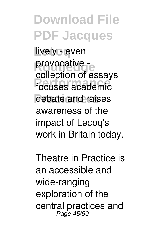lively - even provocative -**Performance** focuses academic debate and raises collection of essays awareness of the impact of Lecoq's work in Britain today.

Theatre in Practice is an accessible and wide-ranging exploration of the central practices and Page 45/50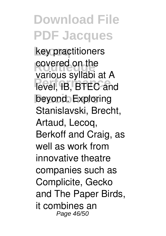**Lecoq** key practitioners **Routled** on the **Performance**<br> **Performance** beyond. Exploring various syllabi at A Stanislavski, Brecht, Artaud, Lecoq, Berkoff and Craig, as well as work from innovative theatre companies such as Complicite, Gecko and The Paper Birds, it combines an Page 46/50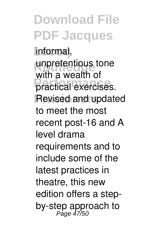**Lecoq** informal, unpretentious tone **Practical exercises. Revised and updated** with a wealth of to meet the most recent post-16 and A level drama requirements and to include some of the latest practices in theatre, this new edition offers a stepby-step approach to Page 47/50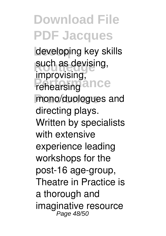**Lecoq** developing key skills such as devising, rehearsing<sup>ance</sup> mono/duologues and improvising, directing plays. Written by specialists with extensive experience leading workshops for the post-16 age-group, Theatre in Practice is a thorough and imaginative resource Page 48/50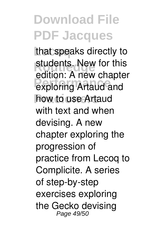that speaks directly to students. New for this exploring Artaud and how to use Artaud edition: A new chapter with text and when devising. A new chapter exploring the progression of practice from Lecoq to Complicite. A series of step-by-step exercises exploring the Gecko devising Page 49/50